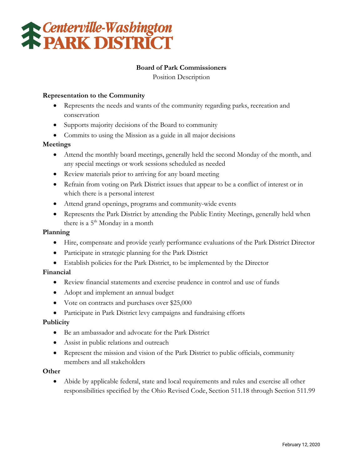

# **Board of Park Commissioners**

Position Description

## **Representation to the Community**

- Represents the needs and wants of the community regarding parks, recreation and conservation
- Supports majority decisions of the Board to community
- Commits to using the Mission as a guide in all major decisions

## **Meetings**

- Attend the monthly board meetings, generally held the second Monday of the month, and any special meetings or work sessions scheduled as needed
- Review materials prior to arriving for any board meeting
- Refrain from voting on Park District issues that appear to be a conflict of interest or in which there is a personal interest
- Attend grand openings, programs and community-wide events
- Represents the Park District by attending the Public Entity Meetings, generally held when there is a  $5<sup>th</sup>$  Monday in a month

### **Planning**

- Hire, compensate and provide yearly performance evaluations of the Park District Director
- Participate in strategic planning for the Park District
- Establish policies for the Park District, to be implemented by the Director

## **Financial**

- Review financial statements and exercise prudence in control and use of funds
- Adopt and implement an annual budget
- Vote on contracts and purchases over \$25,000
- Participate in Park District levy campaigns and fundraising efforts

### **Publicity**

- Be an ambassador and advocate for the Park District
- Assist in public relations and outreach
- Represent the mission and vision of the Park District to public officials, community members and all stakeholders

### **Other**

• Abide by applicable federal, state and local requirements and rules and exercise all other responsibilities specified by the Ohio Revised Code, Section 511.18 through Section 511.99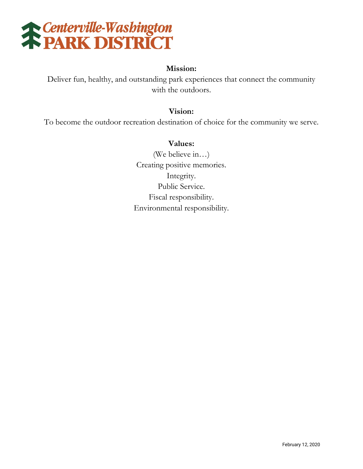

# **Mission:**

Deliver fun, healthy, and outstanding park experiences that connect the community with the outdoors.

# **Vision:**

To become the outdoor recreation destination of choice for the community we serve.

# **Values:**

(We believe in…) Creating positive memories. Integrity. Public Service. Fiscal responsibility. Environmental responsibility.